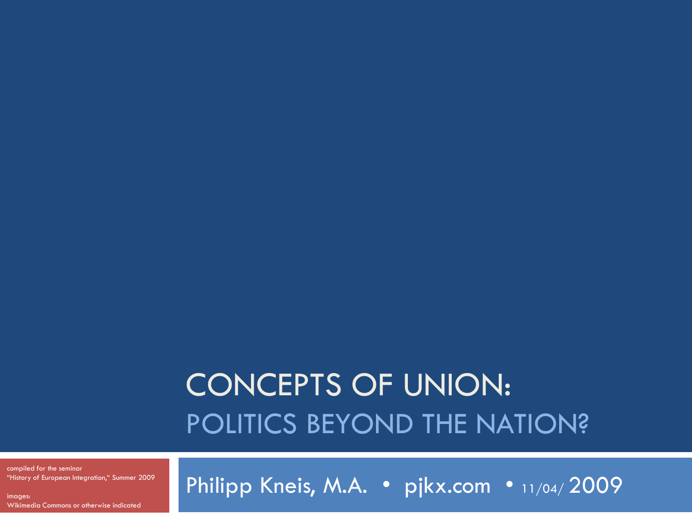#### CONCEPTS OF UNION: POLITICS BEYOND THE NATION?

compiled for the seminar "History of European Integration," Summer 2009

images: Wikimedia Commons or otherwise indicated Philipp Kneis, M.A. · pjkx.com · 11/04/2009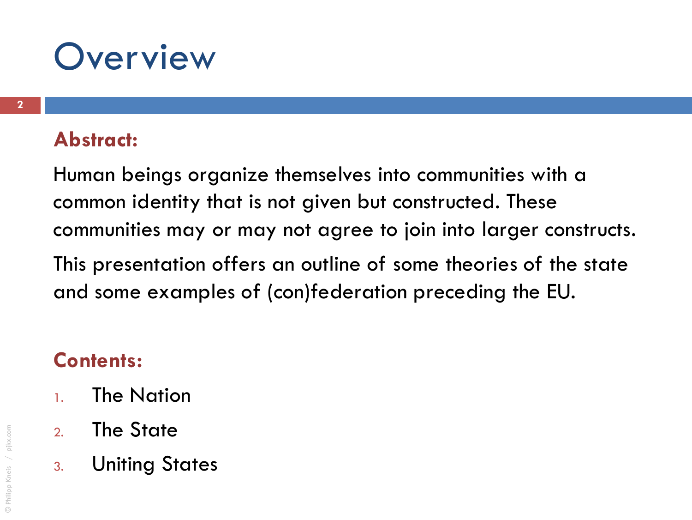#### **Overview**

#### **Abstract:**

Human beings organize themselves into communities with a common identity that is not given but constructed. These communities may or may not agree to join into larger constructs. This presentation offers an outline of some theories of the state

and some examples of (con)federation preceding the EU.

#### **Contents:**

- 1. The Nation
- 2. The State
- 3. Uniting States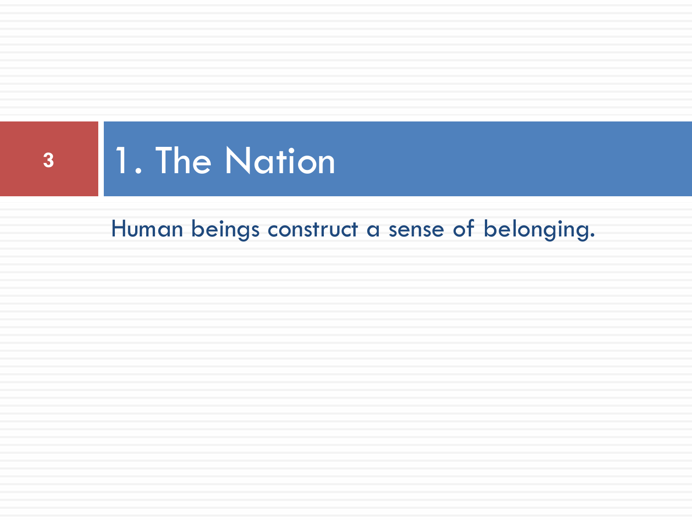

Human beings construct a sense of belonging.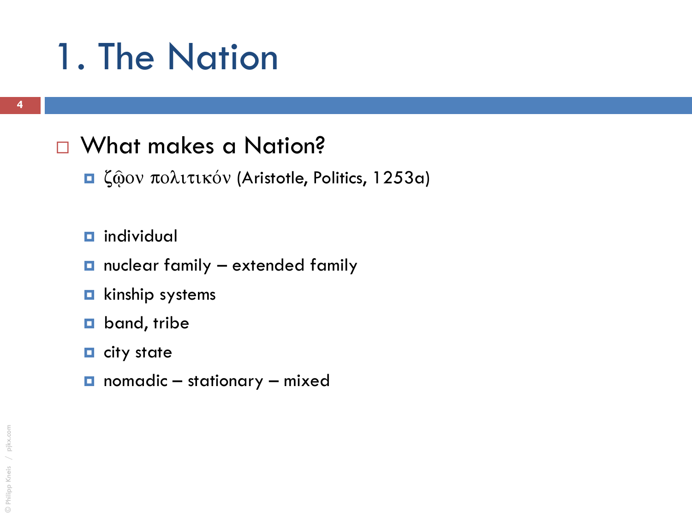#### □ What makes a Nation?

- $\Box$  ζώον πολιτικόν (Aristotle, Politics, 1253a)
- $\blacksquare$  individual
- $\Box$  nuclear family extended family
- **E** kinship systems
- **D** band, tribe
- $\blacksquare$  city state
- nomadic stationary mixed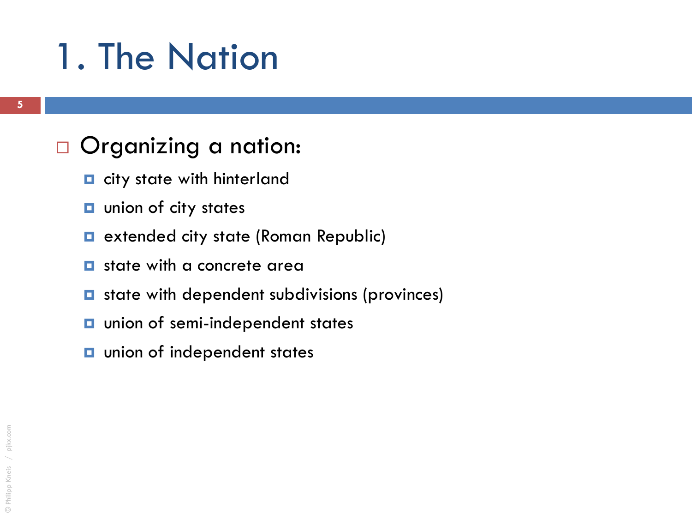#### □ Organizing a nation:

- $\blacksquare$  city state with hinterland
- **u** union of city states
- **E** extended city state (Roman Republic)
- $\blacksquare$  state with a concrete area
- $\blacksquare$  state with dependent subdivisions (provinces)
- **u** union of semi-independent states
- **u** union of independent states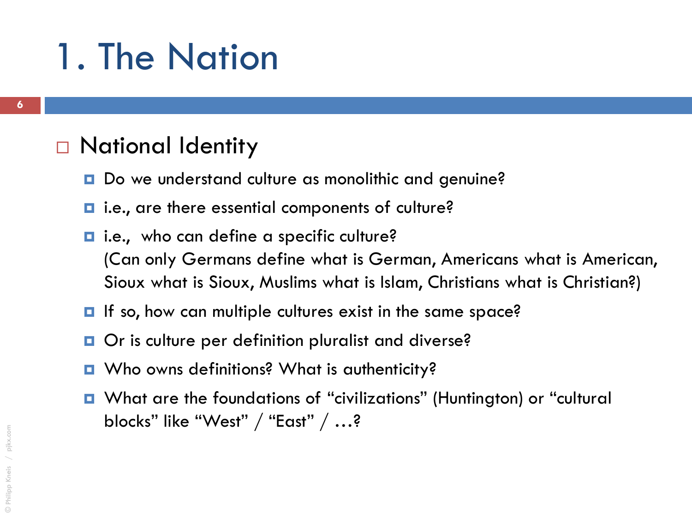#### □ National Identity

- Do we understand culture as monolithic and genuine?
- **□** i.e., are there essential components of culture?
- $\blacksquare$  i.e., who can define a specific culture? (Can only Germans define what is German, Americans what is American, Sioux what is Sioux, Muslims what is Islam, Christians what is Christian?)
- **If** so, how can multiple cultures exist in the same space?
- Or is culture per definition pluralist and diverse?
- Who owns definitions? What is authenticity?
- What are the foundations of "civilizations" (Huntington) or "cultural blocks" like "West" / "East" / …?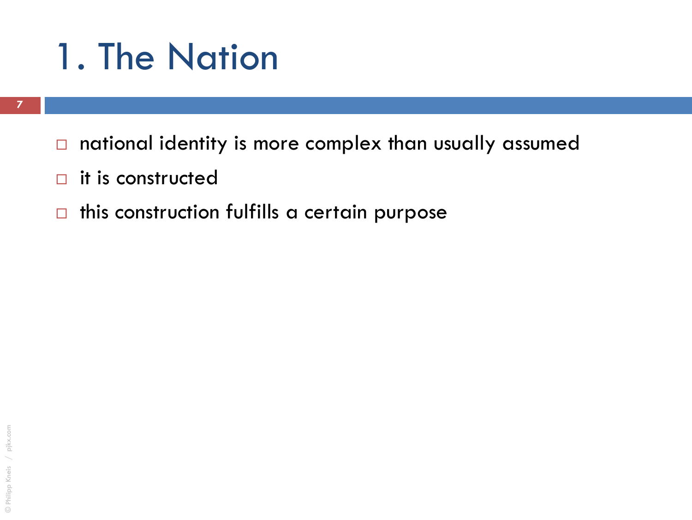- $\Box$  national identity is more complex than usually assumed
- $\Box$  it is constructed
- $\Box$  this construction fulfills a certain purpose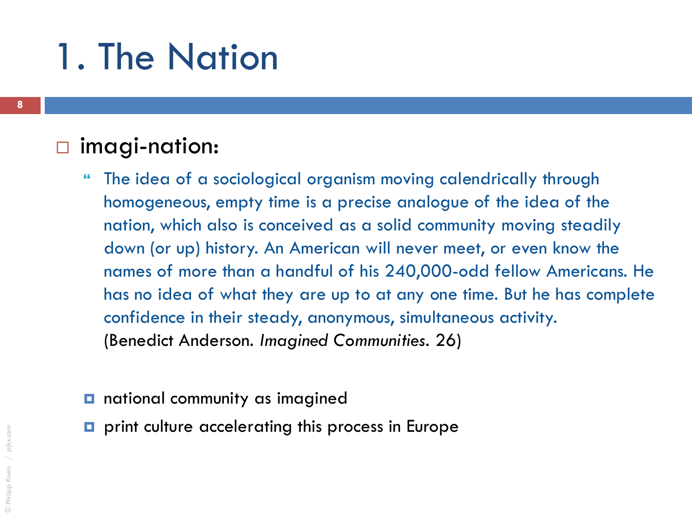#### imagi-nation:

- The idea of a sociological organism moving calendrically through homogeneous, empty time is a precise analogue of the idea of the nation, which also is conceived as a solid community moving steadily down (or up) history. An American will never meet, or even know the names of more than a handful of his 240,000-odd fellow Americans. He has no idea of what they are up to at any one time. But he has complete confidence in their steady, anonymous, simultaneous activity. (Benedict Anderson. *Imagined Communities*. 26)
- **national community as imagined**
- **p** print culture accelerating this process in Europe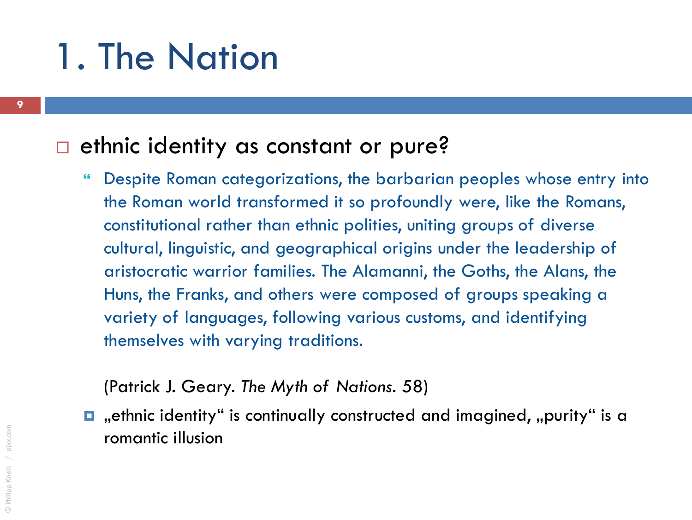#### $\Box$  ethnic identity as constant or pure?

 Despite Roman categorizations, the barbarian peoples whose entry into the Roman world transformed it so profoundly were, like the Romans, constitutional rather than ethnic polities, uniting groups of diverse cultural, linguistic, and geographical origins under the leadership of aristocratic warrior families. The Alamanni, the Goths, the Alans, the Huns, the Franks, and others were composed of groups speaking a variety of languages, following various customs, and identifying themselves with varying traditions.

(Patrick J. Geary. *The Myth of Nations.* 58)

 $\blacksquare$  , ethnic identity" is continually constructed and imagined, , purity" is a romantic illusion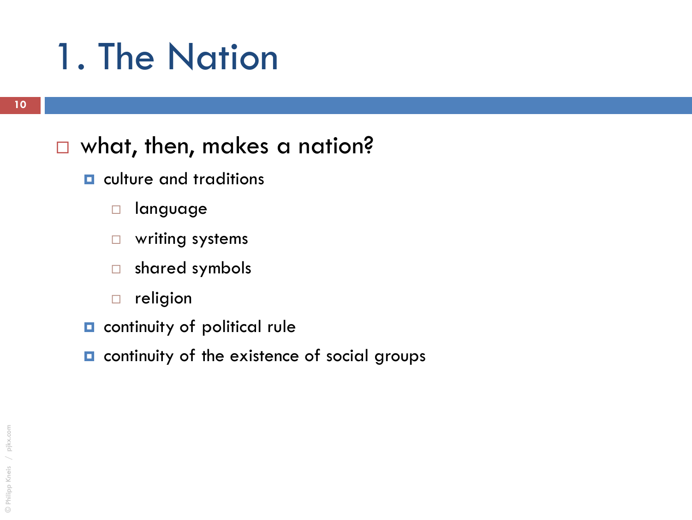#### □ what, then, makes a nation?

- $\blacksquare$  culture and traditions
	- language
	- writing systems
	- shared symbols
	- $\Box$  religion
- **Q** continuity of political rule
- $\Box$  continuity of the existence of social groups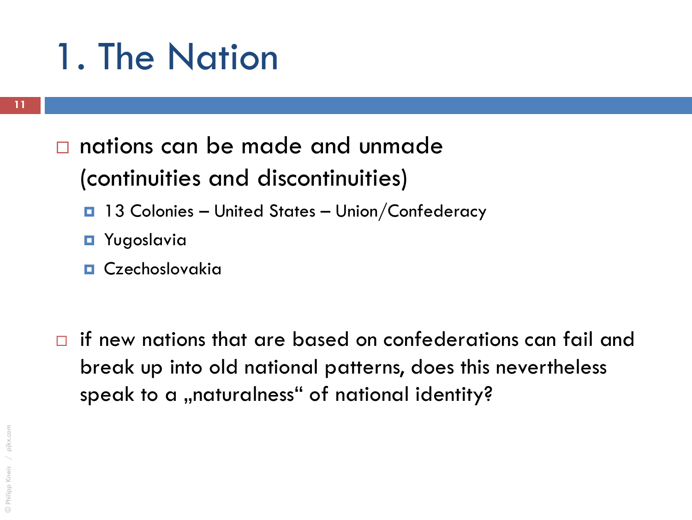#### nations can be made and unmade (continuities and discontinuities)

- 13 Colonies United States Union/Confederacy
- **E** Yugoslavia
- **D** Czechoslovakia
- $\Box$  if new nations that are based on confederations can fail and break up into old national patterns, does this nevertheless speak to a "naturalness" of national identity?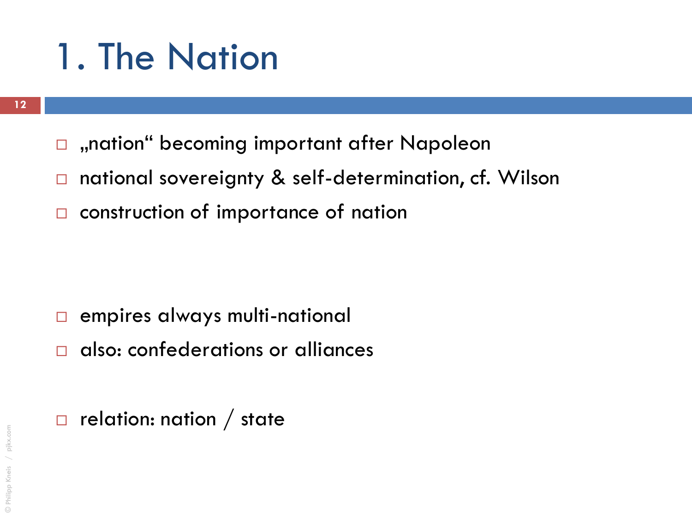- $\Box$ , nation" becoming important after Napoleon
- □ national sovereignty & self-determination, cf. Wilson
- □ construction of importance of nation

- **E** empires always multi-national
- $\Box$  also: confederations or alliances
- $\Box$  relation: nation / state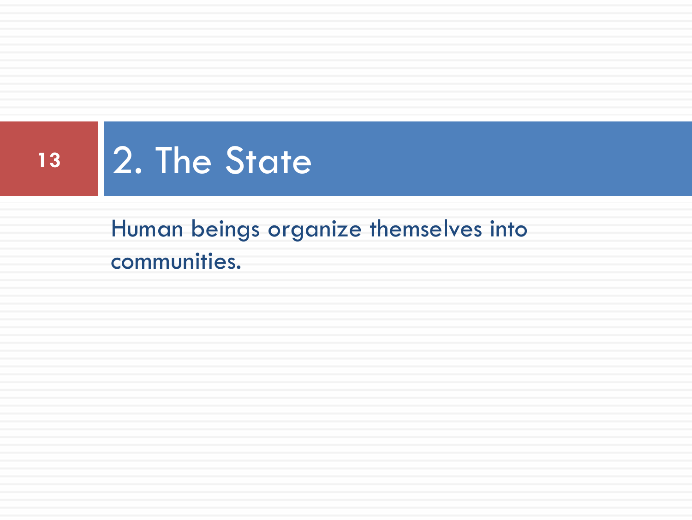

Human beings organize themselves into communities.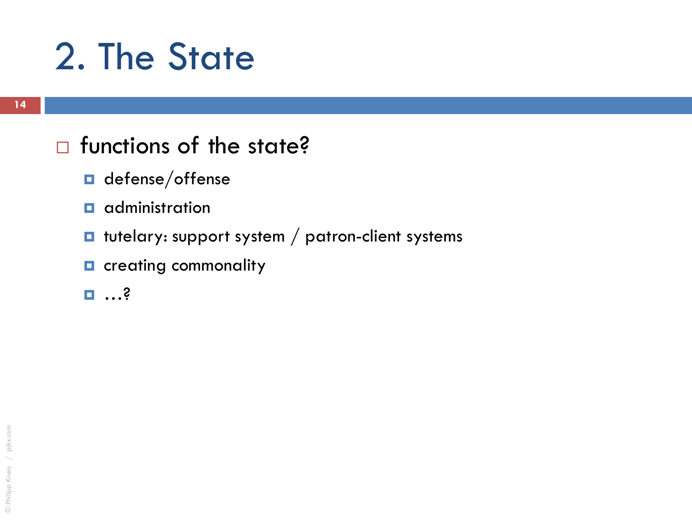#### $\Box$  functions of the state?

- $\blacksquare$  defense/offense
- $\blacksquare$  administration
- $\blacksquare$  tutelary: support system / patron-client systems
- **n** creating commonality
- …?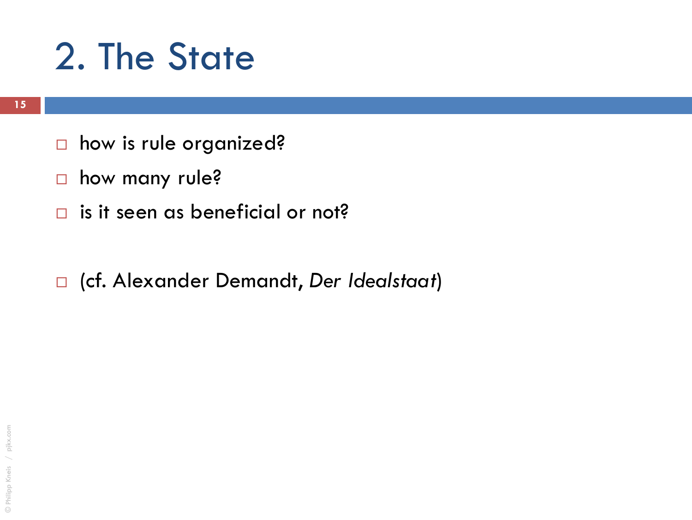- □ how is rule organized?
- **n** how many rule?
- $\Box$  is it seen as beneficial or not?
- (cf. Alexander Demandt, *Der Idealstaat*)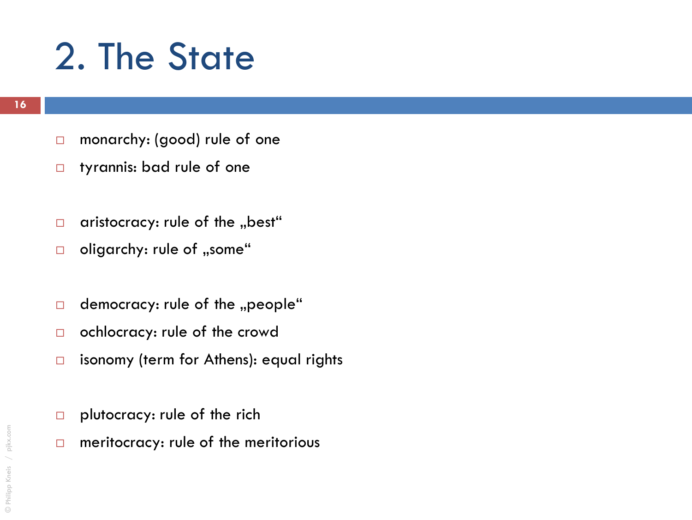- □ monarchy: (good) rule of one
- **D** tyrannis: bad rule of one
- aristocracy: rule of the "best"
- $\Box$  oligarchy: rule of "some"
- $\Box$  democracy: rule of the "people"
- ochlocracy: rule of the crowd
- $\Box$  isonomy (term for Athens): equal rights
- $\Box$  plutocracy: rule of the rich
- $\Box$  meritocracy: rule of the meritorious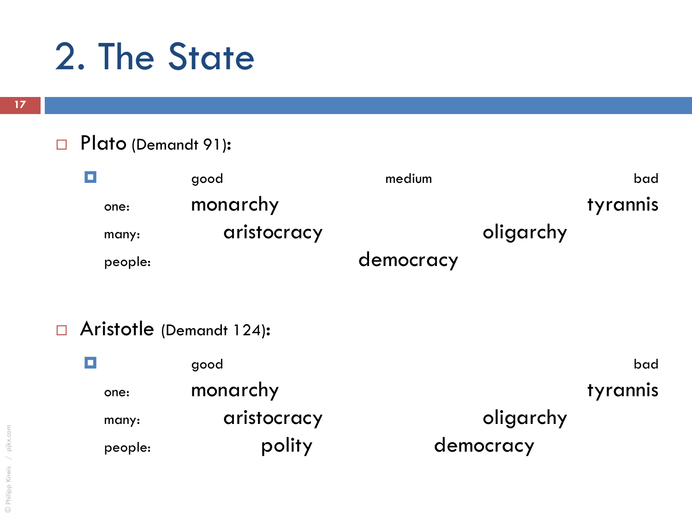#### Plato (Demandt 91):

| $\Box$  | good        | medium |           | bad             |
|---------|-------------|--------|-----------|-----------------|
| one:    | monarchy    |        |           | <b>tyrannis</b> |
| many:   | aristocracy |        | oligarchy |                 |
| people: | democracy   |        |           |                 |

#### Aristotle (Demandt 124):

| о<br>good |             | bad             |  |
|-----------|-------------|-----------------|--|
| one:      | monarchy    | <b>tyrannis</b> |  |
| many:     | aristocracy | oligarchy       |  |
| people:   | polity      | democracy       |  |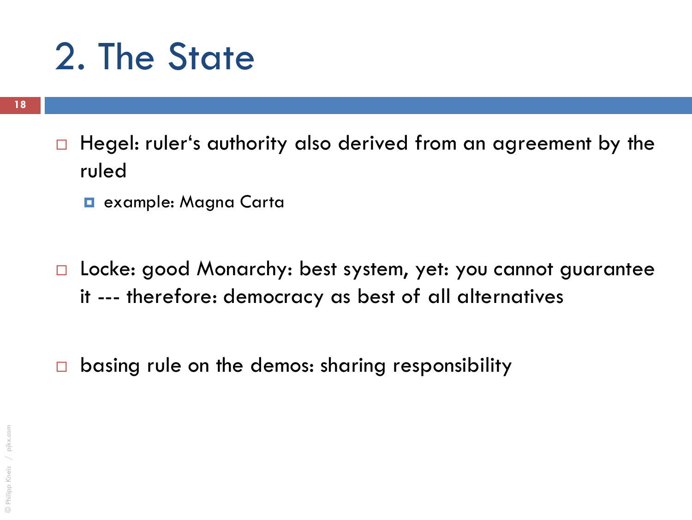- $\Box$  Hegel: ruler's authority also derived from an agreement by the ruled
	- $\blacksquare$  example: Magna Carta
- □ Locke: good Monarchy: best system, yet: you cannot guarantee it --- therefore: democracy as best of all alternatives
- $\Box$  basing rule on the demos: sharing responsibility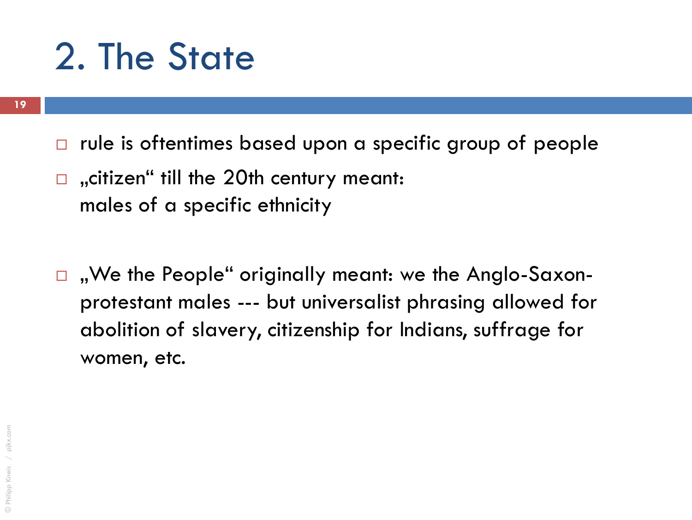- $\Box$  rule is oftentimes based upon a specific group of people
- $\Box$ , citizen" till the 20th century meant: males of a specific ethnicity
- $\Box$ , We the People" originally meant: we the Anglo-Saxonprotestant males --- but universalist phrasing allowed for abolition of slavery, citizenship for Indians, suffrage for women, etc.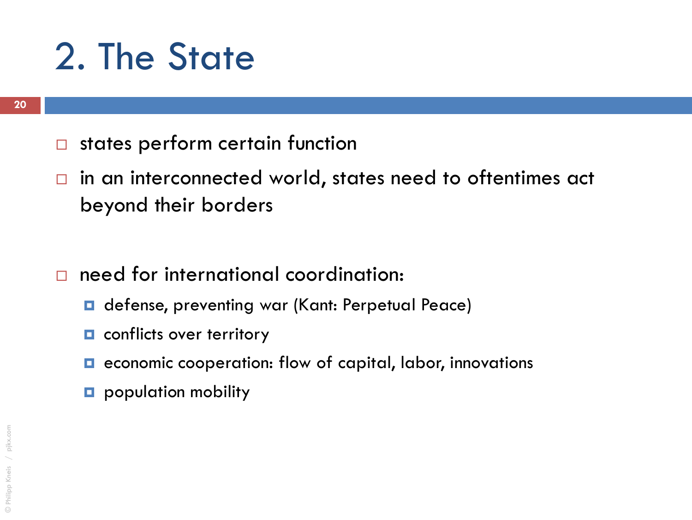- $\square$  states perform certain function
- $\Box$  in an interconnected world, states need to oftentimes act beyond their borders
- need for international coordination:
	- **□** defense, preventing war (Kant: Perpetual Peace)
	- **n** conflicts over territory
	- **E** economic cooperation: flow of capital, labor, innovations
	- **p** population mobility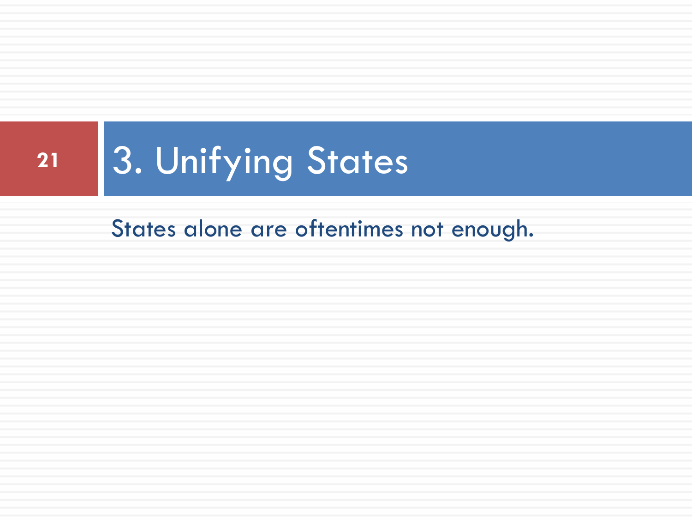States alone are oftentimes not enough.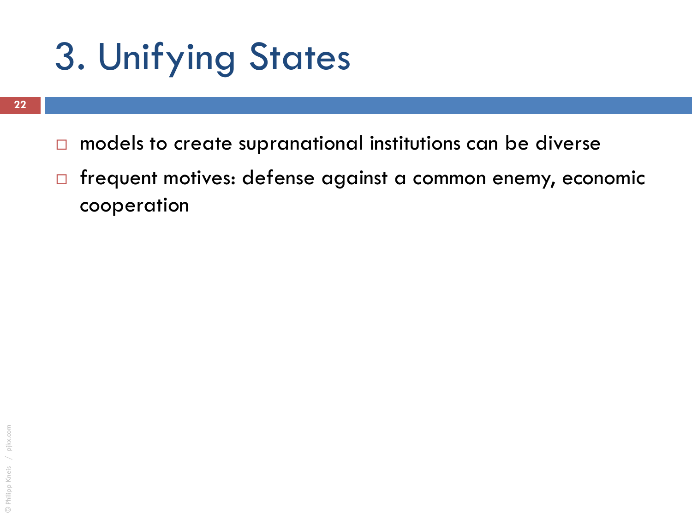- $\Box$  models to create supranational institutions can be diverse
- □ frequent motives: defense against a common enemy, economic cooperation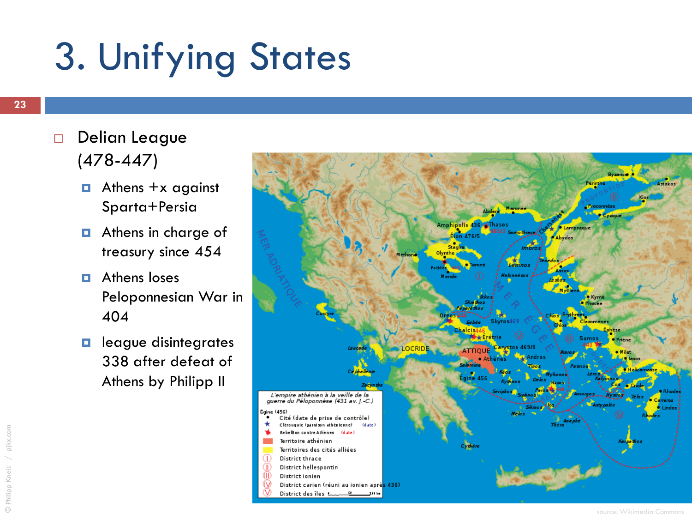- Delian League  $(478 - 447)$ 
	- $\Box$  Athens +x against Sparta+Persia
	- $\blacksquare$  Athens in charge of treasury since 454
	- **E** Athens loses Peloponnesian War in 404
	- $\Box$  league disintegrates 338 after defeat of Athens by Philipp II

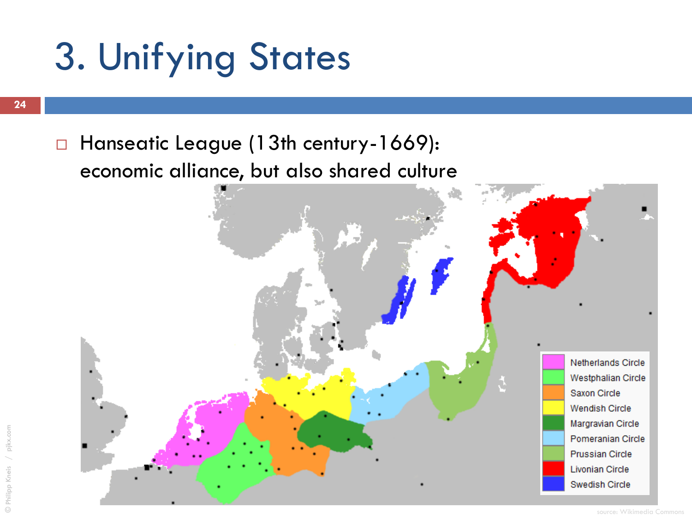□ Hanseatic League (13th century-1669): economic alliance, but also shared culture

> Netherlands Circle **Westphalian Circle** Saxon Circle **Wendish Circle** Margravian Circle Pomeranian Circle **Prussian Circle Livonian Circle** Swedish Circle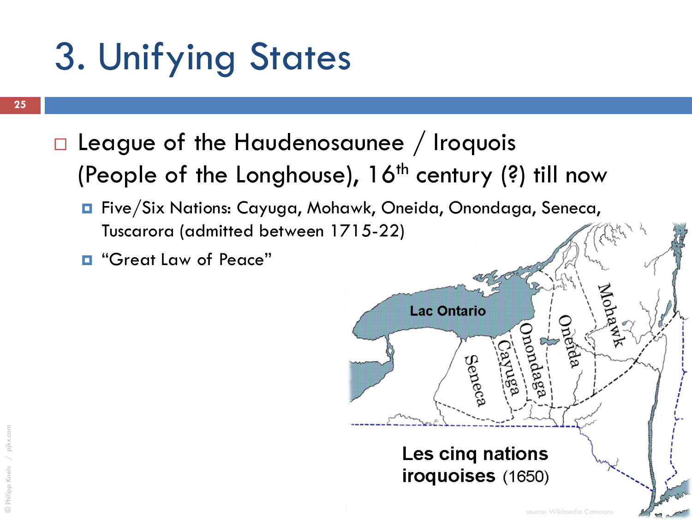- $\Box$  League of the Haudenosaunee / Iroquois (People of the Longhouse),  $16<sup>th</sup>$  century (?) till now
	- Five/Six Nations: Cayuga, Mohawk, Oneida, Onondaga, Seneca, Tuscarora (admitted between 1[715-22\)](http://upload.wikimedia.org/wikipedia/commons/e/ee/Iroquois_5_Nations_1650.gif)
	- $\blacksquare$  "Great Law of Peace"

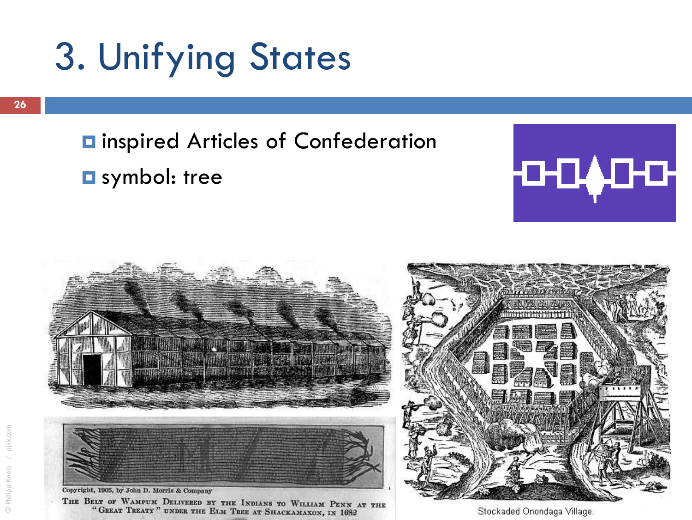#### $\blacksquare$  inspired Articles of Confederation

#### $\square$  symbol: tree





Stockaded Onondaga Village.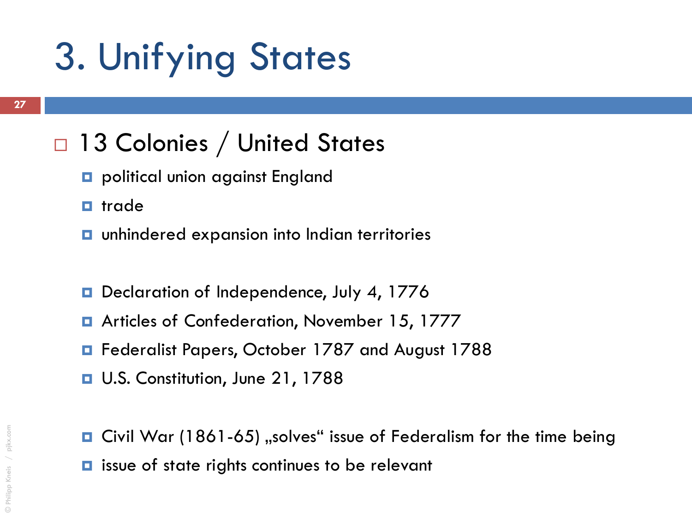#### □ 13 Colonies / United States

- political union against England
- $\blacksquare$  trade
- **unhindered expansion into Indian territories**
- D Declaration of Independence, July 4, 1776
- **E** Articles of Confederation, November 15, 1777
- **E** Federalist Papers, October 1787 and August 1788
- **u** U.S. Constitution, June 21, 1788
- **Q** Civil War (1861-65) "solves" issue of Federalism for the time being
- **□** issue of state rights continues to be relevant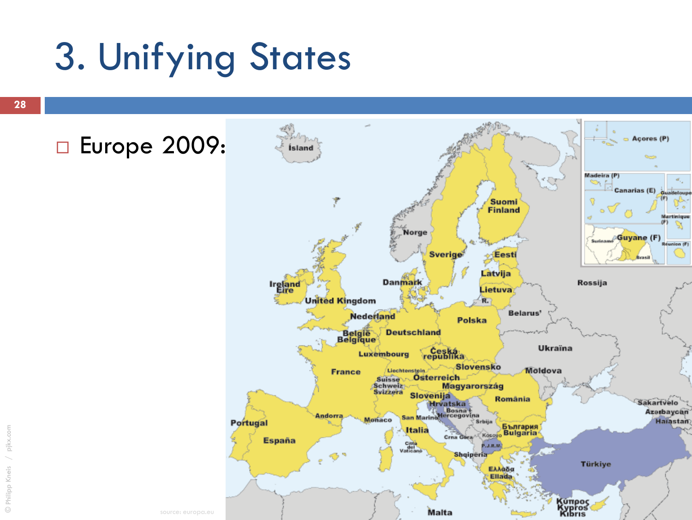source: europa.eu

#### □ Europe 2009: